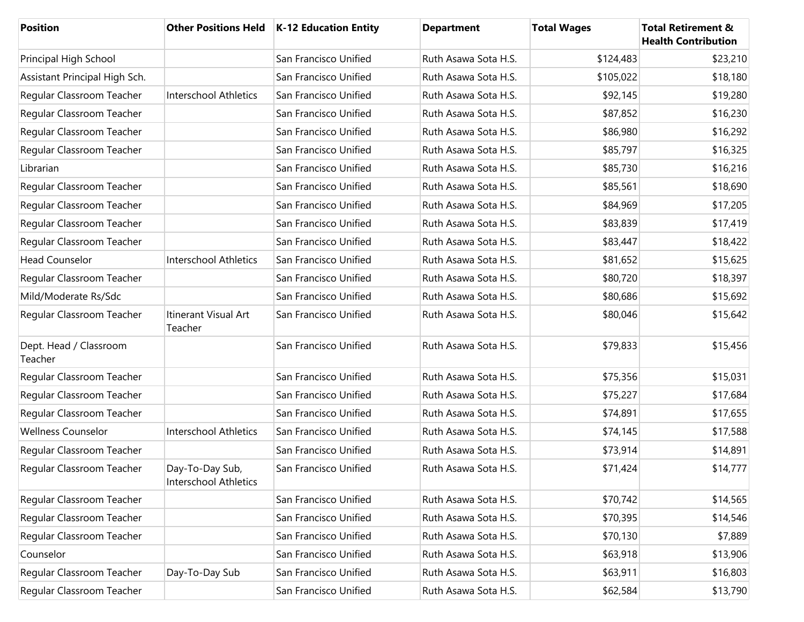| <b>Position</b>                   | <b>Other Positions Held</b>              | <b>K-12 Education Entity</b> | <b>Department</b>    | <b>Total Wages</b> | <b>Total Retirement &amp;</b><br><b>Health Contribution</b> |
|-----------------------------------|------------------------------------------|------------------------------|----------------------|--------------------|-------------------------------------------------------------|
| Principal High School             |                                          | San Francisco Unified        | Ruth Asawa Sota H.S. | \$124,483          | \$23,210                                                    |
| Assistant Principal High Sch.     |                                          | San Francisco Unified        | Ruth Asawa Sota H.S. | \$105,022          | \$18,180                                                    |
| Regular Classroom Teacher         | Interschool Athletics                    | San Francisco Unified        | Ruth Asawa Sota H.S. | \$92,145           | \$19,280                                                    |
| Regular Classroom Teacher         |                                          | San Francisco Unified        | Ruth Asawa Sota H.S. | \$87,852           | \$16,230                                                    |
| Regular Classroom Teacher         |                                          | San Francisco Unified        | Ruth Asawa Sota H.S. | \$86,980           | \$16,292                                                    |
| Regular Classroom Teacher         |                                          | San Francisco Unified        | Ruth Asawa Sota H.S. | \$85,797           | \$16,325                                                    |
| Librarian                         |                                          | San Francisco Unified        | Ruth Asawa Sota H.S. | \$85,730           | \$16,216                                                    |
| Regular Classroom Teacher         |                                          | San Francisco Unified        | Ruth Asawa Sota H.S. | \$85,561           | \$18,690                                                    |
| Regular Classroom Teacher         |                                          | San Francisco Unified        | Ruth Asawa Sota H.S. | \$84,969           | \$17,205                                                    |
| Regular Classroom Teacher         |                                          | San Francisco Unified        | Ruth Asawa Sota H.S. | \$83,839           | \$17,419                                                    |
| Regular Classroom Teacher         |                                          | San Francisco Unified        | Ruth Asawa Sota H.S. | \$83,447           | \$18,422                                                    |
| <b>Head Counselor</b>             | Interschool Athletics                    | San Francisco Unified        | Ruth Asawa Sota H.S. | \$81,652           | \$15,625                                                    |
| Regular Classroom Teacher         |                                          | San Francisco Unified        | Ruth Asawa Sota H.S. | \$80,720           | \$18,397                                                    |
| Mild/Moderate Rs/Sdc              |                                          | San Francisco Unified        | Ruth Asawa Sota H.S. | \$80,686           | \$15,692                                                    |
| Regular Classroom Teacher         | Itinerant Visual Art<br>Teacher          | San Francisco Unified        | Ruth Asawa Sota H.S. | \$80,046           | \$15,642                                                    |
| Dept. Head / Classroom<br>Teacher |                                          | San Francisco Unified        | Ruth Asawa Sota H.S. | \$79,833           | \$15,456                                                    |
| Regular Classroom Teacher         |                                          | San Francisco Unified        | Ruth Asawa Sota H.S. | \$75,356           | \$15,031                                                    |
| Regular Classroom Teacher         |                                          | San Francisco Unified        | Ruth Asawa Sota H.S. | \$75,227           | \$17,684                                                    |
| Regular Classroom Teacher         |                                          | San Francisco Unified        | Ruth Asawa Sota H.S. | \$74,891           | \$17,655                                                    |
| <b>Wellness Counselor</b>         | Interschool Athletics                    | San Francisco Unified        | Ruth Asawa Sota H.S. | \$74,145           | \$17,588                                                    |
| Regular Classroom Teacher         |                                          | San Francisco Unified        | Ruth Asawa Sota H.S. | \$73,914           | \$14,891                                                    |
| Regular Classroom Teacher         | Day-To-Day Sub,<br>Interschool Athletics | San Francisco Unified        | Ruth Asawa Sota H.S. | \$71,424           | \$14,777                                                    |
| Regular Classroom Teacher         |                                          | San Francisco Unified        | Ruth Asawa Sota H.S. | \$70,742           | \$14,565                                                    |
| Regular Classroom Teacher         |                                          | San Francisco Unified        | Ruth Asawa Sota H.S. | \$70,395           | \$14,546                                                    |
| Regular Classroom Teacher         |                                          | San Francisco Unified        | Ruth Asawa Sota H.S. | \$70,130           | \$7,889                                                     |
| Counselor                         |                                          | San Francisco Unified        | Ruth Asawa Sota H.S. | \$63,918           | \$13,906                                                    |
| Regular Classroom Teacher         | Day-To-Day Sub                           | San Francisco Unified        | Ruth Asawa Sota H.S. | \$63,911           | \$16,803                                                    |
| Regular Classroom Teacher         |                                          | San Francisco Unified        | Ruth Asawa Sota H.S. | \$62,584           | \$13,790                                                    |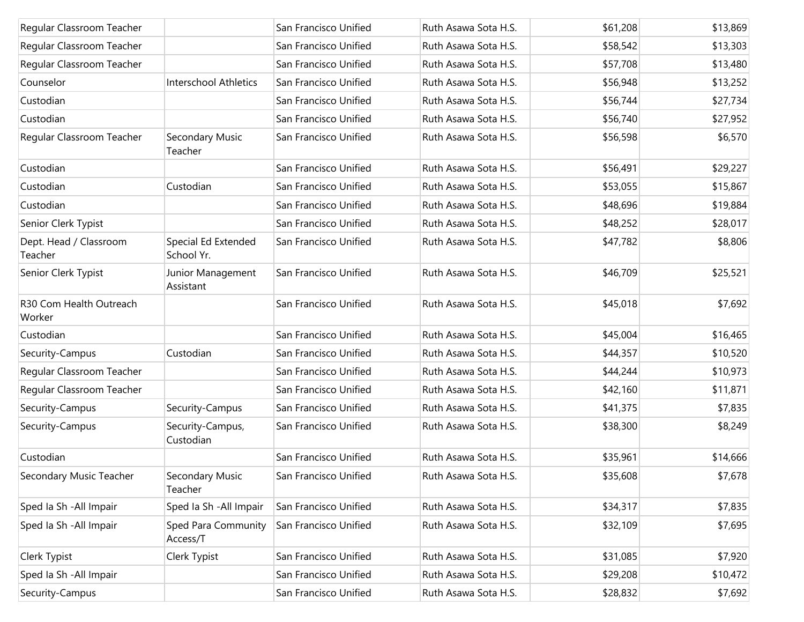| Regular Classroom Teacher         |                                   | San Francisco Unified | Ruth Asawa Sota H.S. | \$61,208 | \$13,869 |
|-----------------------------------|-----------------------------------|-----------------------|----------------------|----------|----------|
| Regular Classroom Teacher         |                                   | San Francisco Unified | Ruth Asawa Sota H.S. | \$58,542 | \$13,303 |
| Regular Classroom Teacher         |                                   | San Francisco Unified | Ruth Asawa Sota H.S. | \$57,708 | \$13,480 |
| Counselor                         | Interschool Athletics             | San Francisco Unified | Ruth Asawa Sota H.S. | \$56,948 | \$13,252 |
| Custodian                         |                                   | San Francisco Unified | Ruth Asawa Sota H.S. | \$56,744 | \$27,734 |
| Custodian                         |                                   | San Francisco Unified | Ruth Asawa Sota H.S. | \$56,740 | \$27,952 |
| Regular Classroom Teacher         | Secondary Music<br>Teacher        | San Francisco Unified | Ruth Asawa Sota H.S. | \$56,598 | \$6,570  |
| Custodian                         |                                   | San Francisco Unified | Ruth Asawa Sota H.S. | \$56,491 | \$29,227 |
| Custodian                         | Custodian                         | San Francisco Unified | Ruth Asawa Sota H.S. | \$53,055 | \$15,867 |
| Custodian                         |                                   | San Francisco Unified | Ruth Asawa Sota H.S. | \$48,696 | \$19,884 |
| Senior Clerk Typist               |                                   | San Francisco Unified | Ruth Asawa Sota H.S. | \$48,252 | \$28,017 |
| Dept. Head / Classroom<br>Teacher | Special Ed Extended<br>School Yr. | San Francisco Unified | Ruth Asawa Sota H.S. | \$47,782 | \$8,806  |
| Senior Clerk Typist               | Junior Management<br>Assistant    | San Francisco Unified | Ruth Asawa Sota H.S. | \$46,709 | \$25,521 |
| R30 Com Health Outreach<br>Worker |                                   | San Francisco Unified | Ruth Asawa Sota H.S. | \$45,018 | \$7,692  |
| Custodian                         |                                   | San Francisco Unified | Ruth Asawa Sota H.S. | \$45,004 | \$16,465 |
| Security-Campus                   | Custodian                         | San Francisco Unified | Ruth Asawa Sota H.S. | \$44,357 | \$10,520 |
| Regular Classroom Teacher         |                                   | San Francisco Unified | Ruth Asawa Sota H.S. | \$44,244 | \$10,973 |
| Regular Classroom Teacher         |                                   | San Francisco Unified | Ruth Asawa Sota H.S. | \$42,160 | \$11,871 |
| Security-Campus                   | Security-Campus                   | San Francisco Unified | Ruth Asawa Sota H.S. | \$41,375 | \$7,835  |
| Security-Campus                   | Security-Campus,<br>Custodian     | San Francisco Unified | Ruth Asawa Sota H.S. | \$38,300 | \$8,249  |
| Custodian                         |                                   | San Francisco Unified | Ruth Asawa Sota H.S. | \$35,961 | \$14,666 |
| Secondary Music Teacher           | Secondary Music<br>Teacher        | San Francisco Unified | Ruth Asawa Sota H.S. | \$35,608 | \$7,678  |
| Sped Ia Sh - All Impair           | Sped Ia Sh - All Impair           | San Francisco Unified | Ruth Asawa Sota H.S. | \$34,317 | \$7,835  |
| Sped Ia Sh - All Impair           | Sped Para Community<br>Access/T   | San Francisco Unified | Ruth Asawa Sota H.S. | \$32,109 | \$7,695  |
| Clerk Typist                      | Clerk Typist                      | San Francisco Unified | Ruth Asawa Sota H.S. | \$31,085 | \$7,920  |
| Sped Ia Sh - All Impair           |                                   | San Francisco Unified | Ruth Asawa Sota H.S. | \$29,208 | \$10,472 |
| Security-Campus                   |                                   | San Francisco Unified | Ruth Asawa Sota H.S. | \$28,832 | \$7,692  |